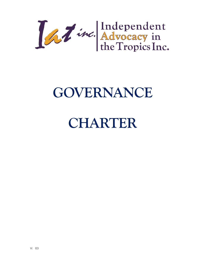La Time. Advocacy in<br>the Tropics Inc.

# **GOVERNANCE**

# **CHARTER**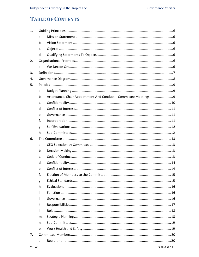# **TABLE OF CONTENTS**

| 1. |    |  |  |
|----|----|--|--|
|    | a. |  |  |
|    | b. |  |  |
|    | c. |  |  |
|    | d. |  |  |
| 2. |    |  |  |
|    | a. |  |  |
| 3. |    |  |  |
| 4. |    |  |  |
| 5. |    |  |  |
|    | a. |  |  |
|    | b. |  |  |
|    | c. |  |  |
|    | d. |  |  |
|    | e. |  |  |
|    | f. |  |  |
|    | g. |  |  |
|    | h. |  |  |
| 6. |    |  |  |
|    | a. |  |  |
|    | b. |  |  |
|    | c. |  |  |
|    | d. |  |  |
|    | e. |  |  |
|    | f. |  |  |
|    | g. |  |  |
|    | h. |  |  |
|    | i. |  |  |
|    | j. |  |  |
|    | k. |  |  |
|    | Ι. |  |  |
|    | m. |  |  |
|    | n. |  |  |
|    | o. |  |  |
| 7. |    |  |  |
|    | a. |  |  |
|    |    |  |  |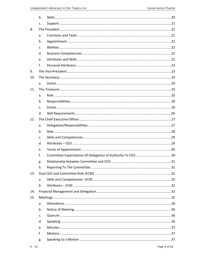|     | b.          |  |  |
|-----|-------------|--|--|
|     | c.          |  |  |
| 8.  |             |  |  |
|     | a.          |  |  |
|     | b.          |  |  |
|     | c.          |  |  |
|     | d.          |  |  |
|     | e.          |  |  |
|     | f.          |  |  |
| 9.  |             |  |  |
| 10. |             |  |  |
|     | a.          |  |  |
| 11. |             |  |  |
|     | a.          |  |  |
|     | b.          |  |  |
|     | $C_{\cdot}$ |  |  |
|     | d.          |  |  |
| 12. |             |  |  |
|     | a.          |  |  |
|     | b.          |  |  |
|     | c.          |  |  |
|     | d.          |  |  |
|     | e.          |  |  |
|     | f.          |  |  |
|     | g.          |  |  |
|     | h.          |  |  |
| 13. |             |  |  |
|     | a.          |  |  |
|     | b.          |  |  |
| 14. |             |  |  |
| 15. |             |  |  |
|     | a.          |  |  |
|     | b.          |  |  |
|     | C.          |  |  |
|     | d.          |  |  |
|     | e.          |  |  |
|     | f.          |  |  |
|     | g.          |  |  |
|     |             |  |  |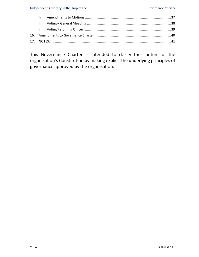This Governance Charter is intended to clarify the content of the organisation's Constitution by making explicit the underlying principles of governance approved by the organisation.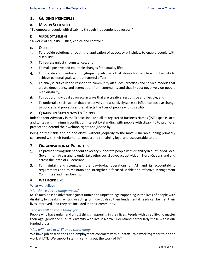# **1. GUIDING PRINCIPLES**

#### **a. MISSION STATEMENT**

"To empower people with disability through independent advocacy."

#### **b. VISION STATEMENT**

"A world of equality, justice, choice and control."

#### **c. OBJECTS**

- 1. To provide solutions through the application of advocacy principles, to enable people with disability:
- 2. To redress unjust circumstances; and
- 3. To make positive and equitable changes for a quality life;
- 4. To provide confidential and high‐quality advocacy that strives for people with disability to achieve personal goals without harmful effect;
- 5. To analyse critically and respond to community attitudes, practices and service models that create dependency and segregation from community and that impact negatively on people with disability;
- 6. To support individual advocacy in ways that are creative, responsive and flexible; and
- 7. To undertake social action that pro‐actively and assertively seeks to influence positive change to policies and procedures that affects the lives of people with disability.

#### **d. QUALIFYING STATEMENTS TO OBJECTS**

Independent Advocacy in the Tropics Inc., and all its registered Business Names (IATI) speaks, acts and writes with minimum conflict of interest by standing with people with disability to promote, protect and defend their welfare, rights and justice by:

Being on their side and no-one else's, without jeopardy to the most vulnerable; being primarily concerned with their fundamental needs; and remaining loyal and accountable to them.

# **2. ORGANISATIONAL PRIORITIES**

- 1. To provide strong independent advocacy support to people with disability in our funded Local Government Areas and to undertake other social advocacy activities in North Queensland and across the State of Queensland.
- 2. To maintain and strengthen the day-to-day operations of IATI and its accountability requirements and to maintain and strengthen a focused, viable and effective Management Committee and membership.

#### **a. WE DECIDE ON:**

#### What we believe

#### *Why do we do the things we do?*

IATI's mission is to advocate against unfair and unjust things happening in the lives of people with disability by speaking, writing or acting for individuals so their fundamental needs can be met, their lives improved, and they are included in their community.

#### *Who we will do these things for*

People who have unfair and unjust things happening in their lives. People with disability, no matter their age, gender or cultural diversity who live in North Queensland particularly those within our funded areas.

#### *Who will work at IATI to do these things*

We have job descriptions and employment contracts with our staff. We work together to do the work at IATI. We support staff in carrying out the work of IATI.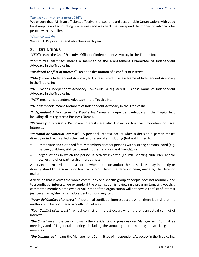#### *The way our money is used at IATI*

We ensure that IATI is an efficient, effective, transparent and accountable Organisation, with good bookkeeping and accounting procedures and we check that we spend the money on advocacy for people with disability.

#### *What we will do*

We set IATI's priorities and objectives each year.

# **3. DEFINITIONS**

*"CEO"* means the Chief Executive Officer of Independent Advocacy in the Tropics Inc.

*"Committee Member"* means a member of the Management Committee of Independent Advocacy in the Tropics Inc.

*"Disclosed Conflict of Interest"* ‐ an open declaration of a conflict of interest.

*"IANQ"* means Independent Advocacy NQ, a registered Business Name of Independent Advocacy in the Tropics Inc.

"IAT" means Independent Advocacy Townsville, a registered Business Name of Independent Advocacy in the Tropics Inc.

*"IATI"* means Independent Advocacy in the Tropics Inc.

*"IATI Members"* means Members of Independent Advocacy in the Tropics Inc.

*"Independent Advocacy in the Tropics Inc."* means Independent Advocacy in the Tropics Inc., including all its registered Business Names.

*"Pecuniary Interests"* **‐** Pecuniary interests are also known as financial, monetary or fiscal interests.

*"Personal or Material Interest"* ‐ A personal interest occurs when a decision a person makes directly or indirectly affects themselves or associates including (but not limited to):

- immediate and extended family members or other persons with a strong personal bond (e.g. partner, children, siblings, parents, other relations and friends); or
- organisations in which the person is actively involved (church, sporting club, etc); and/or ownership of or partnership in a business.

A personal or material interest occurs when a person and/or their associates may indirectly or directly stand to personally or financially profit from the decision being made by the decision maker.

A decision that involves the whole community or a specific group of people does not normally lead to a conflict of interest. For example, if the organisation is reviewing a program targeting youth, a committee member, employee or volunteer of the organisation will not have a conflict of interest just because he/she has an adolescent son or daughter.

*"Potential Conflict of Interest"* ‐ A potential conflict of interest occurs when there is a risk that the matter could be considered a conflict of interest.

*"Real Conflict of Interest"* ‐ A real conflict of interest occurs when there is an actual conflict of interest.

*"the Chair"* means the person (usually the President) who presides over Management Committee meetings and IATI general meetings including the annual general meeting or special general meetings.

*"the Committee"* means the Management Committee of Independent Advocacy in the Tropics Inc.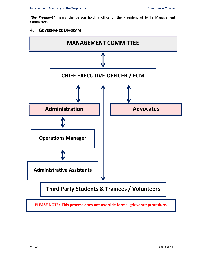*"the President"* means the person holding office of the President of IATI's Management Committee.

# **4. GOVERNANCE DIAGRAM**

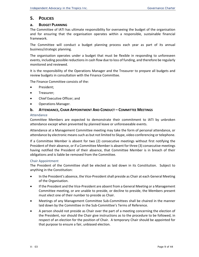# **5. POLICIES**

#### **a. BUDGET PLANNING**

The Committee of IATI has ultimate responsibility for overseeing the budget of the organisation and for ensuring that the organisation operates within a responsible, sustainable financial framework.

The Committee will conduct a budget planning process each year as part of its annual business/strategic planning.

The organisation operates under a budget that must be flexible in responding to unforeseen events, including possible reductions in cash flow due to loss of funding, and therefore be regularly monitored and reviewed.

It is the responsibility of the Operations Manager and the Treasurer to prepare all budgets and review budgets in consultation with the Finance Committee.

The Finance Committee consists of the:

- President;
- Treasurer;
- Chief Executive Officer; and
- Operations Manager.

#### **b. ATTENDANCE, CHAIR APPOINTMENT AND CONDUCT – COMMITTEE MEETINGS**

#### Attendance

Committee Members are expected to demonstrate their commitment to IATI by unbroken attendance except when prevented by planned leave or unforeseeable events.

Attendance at a Management Committee meeting may take the form of personal attendance, or attendance by electronic means such as but not limited to Skype, video conferencing or telephone.

If a Committee Member is absent for two (2) consecutive meetings without first notifying the President of their absence, or if a Committee Member is absent for three (3) consecutive meetings having notified the President of their absence, that Committee Member is in breach of their obligations and is liable be removed from the Committee.

#### Chair Appointment

The President of the Committee shall be elected as laid down in its Constitution. Subject to anything in the Constitution:

- In the President's absence, the Vice‐President shall preside as Chair at each General Meeting of the Organisation.
- If the President and the Vice-President are absent from a General Meeting or a Management Committee meeting, or are unable to preside, or decline to preside, the Members present must elect one of their number to preside as Chair.
- Meetings of any Management Committee Sub-Committees shall be chaired in the manner laid down by the Committee in the Sub-Committee's Terms of Reference.
- A person should not preside as Chair over the part of a meeting concerning the election of the President, nor should the Chair give instructions as to the procedure to be followed, in respect of an election for the position of Chair. A temporary Chair should be appointed for that purpose to ensure a fair, unbiased election.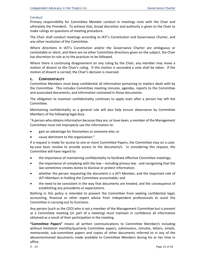#### Conduct

Primary responsibility for Committee Member conduct in meetings rests with the Chair and ultimately the President. To achieve that, broad discretion and authority is given to the Chair to make rulings on questions of meeting procedure.

The Chair shall conduct meetings according to IATI's Constitution and Governance Charter, and any other resolution of the Committee.

Where directions in IATI's Constitution and/or the Governance Charter are ambiguous or contestable or silent, and there are no other Committee directions given on the subject, the Chair has discretion to rule as to the practices to be followed.

Where there is continuing disagreement on any ruling by the Chair, any member may move a motion of dissent to the Chair's ruling. If this motion is seconded a vote shall be taken. If the motion of dissent is carried, the Chair's decision is reversed.

#### **c. CONFIDENTIALITY**

Committee Members must keep confidential all information pertaining to matters dealt with by the Committee. This includes Committee meeting minutes, agendas, reports to the Committee and associated documents, and information contained in those documents.

The obligation to maintain confidentiality continues to apply even after a person has left the Committee.

Maintaining confidentiality as a general rule will also help ensure observance by Committee Members of the following legal duty:

"A person who obtains information because they are, or have been, a member of the Management Committee must not improperly use the information to:

gain an advantage for themselves or someone else; or

cause detriment to the organisation."

If a request is made for access to one or more Committee Papers, the Committee may on a case‐ by-case basis resolve to provide access to the document/s. In considering this request, the Committee will have regard to:

- the importance of maintaining confidentiality to facilitate effective Committee meetings;
- the importance of complying with the law including privacy law and recognizing that the law sometimes creates duties to disclose or protect information;
- whether the person requesting the document is a IATI Member, and the important role of IATI Members in holding the Committee accountable; and
- the need to be consistent in the way that documents are treated, and the consequence of establishing any precedents or expectations.

Nothing in this policy is intended to prevent the Committee from seeking confidential legal, accounting, financial or other expert advice from independent professionals to assist the Committee in carrying out its functions.

Any person [such as the CEO] who is not a member of the Management Committee but is present at a Committee meeting (or part of a meeting) must maintain in confidence all information obtained as a result of their participation in the meeting.

**"Committee Papers"** means all written communications to Committee Member/s including without limitation monthly/quarterly Committee papers, submissions, minutes, letters, emails, memoranda, sub-committee papers and copies of other documents referred to in any of the abovementioned documents made available to Committee Members during his or her time in office.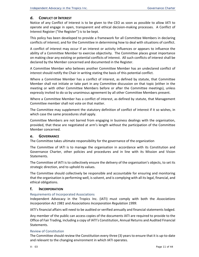# **d. CONFLICT OF INTEREST**

Notice of any Conflict of Interest is to be given to the CEO as soon as possible to allow IATI to operate and engage in open, transparent and ethical decision‐making processes. A Conflict of Interest Register ("the Register") is to be kept.

This policy has been developed to provide a framework for all Committee Members in declaring conflicts of interest; and for the Committee in determining how to deal with situations of conflict.

A conflict of interest may occur if an interest or activity influences or appears to influence the ability of a Committee Member to exercise objectivity. The Committee places great importance on making clear any existing or potential conflicts of interest. All such conflicts of interest shall be declared by the Member concerned and documented in the Register.

A Committee Member who believes another Committee Member has an undeclared conflict of interest should notify the Chair in writing stating the basis of this potential conflict.

Where a Committee Member has a conflict of interest, as defined by statute, that Committee Member shall not initiate or take part in any Committee discussion on that topic (either in the meeting or with other Committee Members before or after the Committee meetings), unless expressly invited to do so by unanimous agreement by all other Committee Members present.

Where a Committee Member has a conflict of interest, as defined by statute, that Management Committee member shall not vote on that matter.

The Committee may supplement the statutory definition of conflict of interest if it so wishes, in which case the same procedures shall apply.

Committee Members are not barred from engaging in business dealings with the organisation, provided, that these are negotiated at arm's length without the participation of the Committee Member concerned.

#### **e. GOVERNANCE**

The Committee takes ultimate responsibility for the governance of the organization

The Committee of IATI is to manage the organisation in accordance with its Constitution and Governance Charter, other policies and procedures and in line with its Mission and Vision Statements.

The Committee of IATI is to collectively ensure the delivery of the organisation's objects, to set its strategic direction, and to uphold its values.

The Committee should collectively be responsible and accountable for ensuring and monitoring that the organisation is performing well, is solvent, and is complying with all its legal, financial, and ethical obligations.

#### **f. INCORPORATION**

#### Requirements of Incorporated Associations

Independent Advocacy in the Tropics Inc. (IATI) must comply with both the *Associations Incorporation Act 1981* and *Associations Incorporation Regulation 1999*.

IATI's financial affairs will need to be audited or verified annually and financial statements lodged.

Any member of the public can access copies of the documents IATI are required to provide to the Office of Fair Trading, including a copy of IATI's Constitution, Annual Returns and Audited Financial Statements.

#### Review of Constitution

The Committee should review the Constitution every three (3) years to ensure that it is up-to-date and relevant to the changing environment in which IATI operates.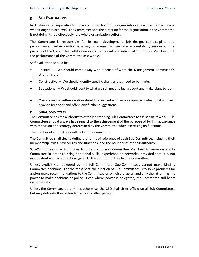# **g. SELF EVALUATIONS**

IATI believes it is imperative to show accountability for the organisation as a whole. Is it achieving what it ought to achieve? The Committee sets the direction for the organisation, if the Committee is not doing its job effectively, the whole organisation suffers.

The Committee is responsible for its own development, job design, self‐discipline and performance. Self-evaluation is a way to assure that we take accountability seriously. The purpose of the Committee Self‐Evaluation is not to evaluate individual Committee Members, but the performance of the Committee as a whole.

Self‐evaluation should be:

- Positive We should come away with a sense of what the Management Committee's strengths are.
- Constructive We should identify specific changes that need to be made.
- Educational We should identify what we still need to learn about and make plans to learn it.
- Overviewed ‐ Self‐evaluation should be viewed with an appropriate professional who will provide feedback and offers any further suggestions.

#### **h. SUB‐COMMITTEES**

The Committee has the authority to establish standing Sub-Committees to assist it in its work. Sub-Committees should always have regard to the achievement of the purpose of IATI, in accordance with the vision and strategy determined by the Committee when exercising its functions.

The number of committees will be kept to a minimum.

The Committee shall clearly define the terms of reference of each Sub‐Committee, including their membership, roles, procedures and functions, and the boundaries of their authority.

Sub-Committees may from time to time co-opt non Committee Members to serve on a Sub-Committee in order to bring additional skills, experience or networks, provided that it is not inconsistent with any directions given to the Sub‐Committee by the Committee.

Unless explicitly empowered by the full Committee, Sub‐Committees cannot make binding Committee decisions. For the most part, the function of Sub‐Committees is to solve problems for and/or make recommendations to the Committee on which the latter, and only the latter, has the power to make decisions or policy. Even where power is delegated, the Committee still bears responsibility.

Unless the Committee determines otherwise, the CEO shall sit ex-officio on all Sub-Committees, but may delegate their attendance to any other person.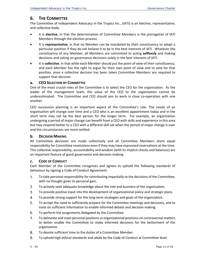# **6. THE COMMITTEE**

The Committee of Independent Advocacy in the Tropics Inc., (IATI) is an elective, representative, and collective body.

- It is **elective**, in that the determination of Committee Members is the prerogative of IATI Members through the election process.
- It is **representative**, in that no Member can be mandated by their constituency to adopt a particular position if they do not believe it to be in the best interests of IATI. Whatever the constituency of any Member, all Members are committed to acting **selflessly** and making decisions and voting on governance decisions solely in the best interests of IATI.
- It is **collective**, in that while each Member should put the point of view of their constituency, and each Member has the right to argue for their own point of view and to vote for that position, once a collective decision has been taken Committee Members are required to support that decision.

#### **a. CEO SELECTION BY COMMITTEE**

One of the most crucial roles of the Committee is to select the CEO for the organisation. As the leader of the management team, the value of the CEO to the organisation cannot be underestimated. The Committee and CEO should aim to work in close co-operation with one another.

CEO succession planning is an important aspect of the Committee's role. The needs of an organisation will change over time and a CEO who is an excellent appointment today and in the short term may not be the best person for the longer term. For example, an organisation undergoing a period of major change can benefit from a CEO with skills and experience in this area but may respond better to a CEO with a different skill set when the period of major change is over and the circumstances are more settled.

## **b. DECISION MAKING**

All Committee decisions are made collectively and all Committee Members share equal responsibility for Committee resolutions even if they may have expressed reservations at the time. This collective responsibility, accountability and wisdom (with its implicit checks and balances) are an important feature of good governance and decision making.

#### **c. CODE OF CONDUCT**

Each Member of the Committee recognises and agrees to uphold the following standards of behaviour by signing a Code of Conduct Agreement:

- To take personal responsibility for contributing impartially to the decisions of the Committee, 1. with no thought given to personal gain.
- $2.$ To actively seek adequate knowledge about the role and business of the organization.
- 3. To provide positive input into the development of organizational policy and strategic plans.
- 4. To provide strong support for the long‐term strategies and goals of the organization.
- 5. To accept the need to sufficiently prepare for the Committee meetings and decisions, and to insist on sufficient information to enable informed debate and decision making.
- 6. To perform the assignments delegated by the Committee.
- 7. To delineate and state personal positions vs organizational positions on controversial matters to better enable the Committee to make informed decisions for the betterment of the organization.
- 8. To devote sufficient time to the duties of a Committee Member.
- 9. To uphold high ethical standards and abide by the Code of Conduct at Committee level.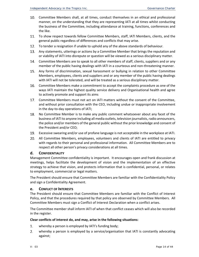- Committee Members shall, at all times, conduct themselves in an ethical and professional manner, on the understanding that they are representing IATI at all times whilst conducting the business of the Committee, including attendance at training, functions, conferences and the like.
- To show respect towards fellow Committee Members, staff, IATI Members, clients, and the general public regardless of differences and conflicts that may arise.
- To tender a resignation if unable to uphold any of the above standards of behaviour.
- Any statements, utterings or actions by a Committee Member that brings the reputation and or viability of IATI into disrepute or question will be viewed as a serious disciplinary matter.
- Committee Members are to speak to all other members of staff, clients, suppliers and or any member of the public having dealings with IATI in a courteous and non-threatening manner.
- Any forms of discrimination, sexual harassment or bullying in relation to other Committee Members, employees, clients and suppliers and or any member of the public having dealings with IATI will not be tolerated, and will be treated as a serious disciplinary matter.
- Committee Members make a commitment to accept the complaints procedure as one of the ways IATI maintain the highest quality service delivery and Organisational health and agree to actively promote and support its aims
- Committee Members must not act on IATI matters without the consent of the Committee, and without prior consultation with the CEO, including undue or inappropriate involvement in the day‐to‐day operations of IATI;
- No Committee Member is to make any public comment whatsoever about any facet of the 18. business of IATI to anyone including all media outlets, television journalists, radio announcers, the police and/or members of the general public without the prior knowledge and consent of the President and/or CEO;
- Excessive swearing and/or use of profane language is not acceptable in the workplace at IATI.
- All Committee Members, employees, volunteers and clients of IATI are entitled to privacy with regards to their personal and professional information. All Committee Members are to respect all other person's privacy considerations at all times.

#### **d. CONFIDENTIALITY**

Management Committee confidentiality is important. It encourages open and frank discussion at meetings, helps facilitate the development of vision and the implementation of an effective strategy to achieve that vision, and protects information that is confidential, personal, or relates to employment, commercial or legal matters.

The President should ensure that Committee Members are familiar with the Confidentiality Policy and sign a Confidentiality Agreement.

#### **e. CONFLICT OF INTERESTS**

The President should ensure that Committee Members are familiar with the Conflict of Interest Policy, and that the procedures required by that policy are observed by Committee Members. All Committee Members must sign a Conflict of Interest Declaration when a conflict arises.

The Committee member shall inform IATI of when that conflict ceases which will also be recorded in the register.

#### **Clear conflicts of interest do, and may, arise in the following situations:**

- 1. whereby a person is employed by IATI's funding body;
- 2. whereby a person is employed by a service/organisation that IATI is constantly advocating against;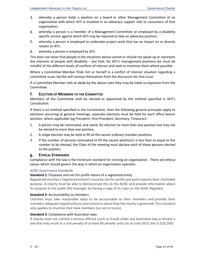- 3. whereby a person holds a position on a board or other Management Committee of an organisation with which IATI is involved in an advocacy support role to consumers of that organisation;
- 4. whereby a person is a member of a Management Committee or employed by a disability specific service against which IATI may be required to take an advocacy position;
- 5. whereby a person is employed to undertake project work that has an impact on or directly relates to IATI;
- whereby a person is employed by IATI. 6.

This does not mean that people in the situations above cannot or should not speak up or represent the interests of people with disability – but that, for IATI's management positions we must be mindful of the different levels of conflicts of interest and seek to minimise them where possible.

Where a Committee Member finds him or herself in a conflict of interest situation regarding a committee issue, he/she will remove themselves from the discussion for that issue.

If a Committee Member fails to abide by the above rules they may be liable to expulsion from the Committee.

#### **f. ELECTION OF MEMBERS TO THE COMMITTEE**

Members of the Committee shall be elected or appointed by the method specified in IATI's Constitution.

If there is no method specified in the Constitution, then the following general principles apply to elections occurring at general meetings: separate elections must be held for each office bearer position, where applicable (eg President, Vice‐President, Secretary, Treasurer).

- 1. A person may be nominated, and stand, for election to more than one position but may not be elected to more than one position.
- 2. A single election may be held to fill all the vacant ordinary member positions.
- 3. If the number of persons nominated to fill the vacant position/s is less than or equal to the number to be elected, the Chair of the meeting must declare each of those persons elected to the position.

#### **g. ETHICAL STANDARDS**

Compliance with the law is the minimum standard for running an organisation. There are ethical values which should govern the way in which an organisation operates.

#### ACNC Governance Standards

#### **Standard 1:** Purposes and not‐for‐profit nature of a registered entity

Registered charities ('registered entities') must be not-for-profit and work towards their charitable purpose. A charity must be able to demonstrate this to the ACNC and provide information about its purpose to the public (for example, by having a copy of its rules on the ACNC Register).

#### **Standard 2: Accountability to members**

Charities must take reasonable steps to be accountable to their members and provide their members adequate opportunity to raise concerns about how the charity is governed. This standard only applies to charities that have members (so not to trusts).

#### **Standard 3:** Compliance with Australian laws

A charity must not commit a serious offence (such as fraud) under any Australian law or breach a law that may result in a civil penalty of at least 60 penalty units (as at June 2013, this is \$10,200).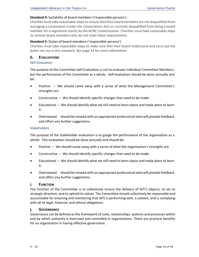#### **Standard 4:** Suitability of board members ('responsible persons')

Charities must take reasonable steps to ensure that their board members are not disqualified from managing a corporation (under the Corporations Act) or currently disqualified from being a board member for a registered charity by the ACNC Commissioner. Charities must take reasonable steps to remove board members who do not meet these requirements.

#### **Standard 5:** Duties of board members ('responsible persons')

Charities must take reasonable steps to make sure that their board understand and carry out the duties set out in this standard. See page 14 for more information.

#### **h. EVALUATIONS**

#### Self‐Evaluation

The purpose of the Committee Self‐Evaluation is not to evaluate individual Committee Members, but the performance of the Committee as a whole. Self‐evaluation should be done annually and be:

- Positive We should come away with a sense of what the Management Committee's strengths are.
- Constructive We should identify specific changes that need to be made.
- Educational We should identify what we still need to learn about and make plans to learn it.
- Overviewed ‐ should be viewed with an appropriate professional who will provide feedback and offers any further suggestions.

#### **Stakeholders**

The purpose of the Stakeholder evaluation is to gauge the performance of the organisation as a whole. This evaluation should be done annually and should be:

- Positive We should come away with a sense of what the organisation's strengths are.
- $\bullet$  Constructive We should identify specific changes that need to be made.
- Educational We should identify what we still need to learn about and make plans to learn it.
- Overviewed ‐ should be viewed with an appropriate professional who will provide feedback and offers any further suggestions.

#### **i. FUNCTION**

The function of the Committee is to collectively ensure the delivery of IATI's objects, to set its strategic direction, and to uphold its values. The Committee should collectively be responsible and accountable for ensuring and monitoring that IATI is performing well, is solvent, and is complying with all its legal, financial, and ethical obligations.

#### **j. GOVERNANCE**

Governance can be defined as the framework of rules, relationships, systems and processes within and by which authority is exercised and controlled in organisations. There are practical benefits for an organisation in having effective governance.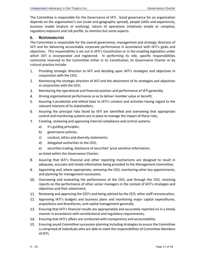The Committee is responsible for the Governance of IATI. Good governance for an organisation depends on the organisation's size (scale and geographic spread), people (skills and experience), business model (mature or evolving), nature of operations (relatively simple or complex), regulatory exposure and risk profile, to mention but some aspects.

#### **k. RESPONSIBILITIES**

The Committee is responsible for the overall governance, management and strategic direction of IATI and for delivering accountable corporate performance in accordance with IATI's goals and objectives. This responsibility is set out in IATI's Constitution or in the enabling legislation under which IATI is incorporated and registered. In performing its role, specific responsibilities commonly reserved to the Committee either in its Constitution, its Governance Charter or by cultural practice include:

- $1.$ Providing strategic direction to IATI and deciding upon IATI's strategies and objectives in conjunction with the CEO;
- $2.$ Monitoring the strategic direction of IATI and the attainment of its strategies and objectives in conjunction with the CEO;
- 3. Monitoring the operational and financial position and performance of IATI generally;
- 4. Driving organisational performance so as to deliver member value or benefit;
- 5. Assuring a prudential and ethical base to IATI's conduct and activities having regard to the relevant interests of its stakeholders;
- 6. Assuring the principal risks faced by IATI are identified and overseeing that appropriate control and monitoring systems are in place to manage the impact of these risks;
- 7. Creating, reviewing and approving internal compliance and control systems:
	- a) it's guiding principles;
	- b) governance policies,
	- c) conduct, ethics and diversity statements;
	- d) delegated authorities to the CEO;
	- e) securities trading, disclosure of securities' price sensitive information;

as listed within the Governance Charter;

- 8. Assuring that IATI's financial and other reporting mechanisms are designed to result in adequate, accurate and timely information being provided to the Management Committee;
- 9. Appointing and, where appropriate, removing the CEO, monitoring other key appointments, and planning for management succession;
- 10. Overseeing and evaluating the performance of the CEO, and through the CEO, receiving reports on the performance of other senior managers in the context of IATI's strategies and objectives and their attainment;
- 11. Reviewing and approving the CEO's and being advised by the CEO, other staff remuneration;
- 12. Approving IATI's budgets and business plans and monitoring major capital expenditures, acquisitions and divestitures, and capital management generally;
- Ensuring that IATI's financial results are appropriately and accurately reported on in a timely 13. manner in accordance with constitutional and regulatory requirements;
- Ensuring that IATI's affairs are conducted with transparency and accountability;
- 15. Ensuring sound Committee succession planning including strategies to assure the Committee is comprised of individuals who are able to meet the responsibilities of Committee Members of IATI;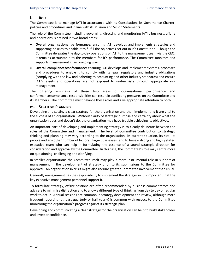# **l. ROLE**

The Committee is to manage IATI in accordance with its Constitution, its Governance Charter, policies and procedures and in line with its Mission and Vision Statements.

The role of the Committee including governing, directing and monitoring IATI's business, affairs and operations is defined in two broad areas:

- **Overall organisational performance:**  ensuring IATI develops and implements strategies and supporting policies to enable it to fulfill the objectives set out in it's Constitution. Though the Committee delegates the day‐to‐day operations of IATI to the management team via the CEO, it remains accountable to the members for it's performance. The Committee monitors and supports management in an on‐going way.
- **Overall compliance/conformance:** ensuring IATI develops and implements systems, processes and procedures to enable it to comply with its legal, regulatory and industry obligations (complying with the law and adhering to accounting and other industry standards) and ensure IATI's assets and operations are not exposed to undue risks through appropriate risk management.

The differing emphasis of these two areas of organisational performance and conformance/compliance responsibilities can result in conflicting pressures on the Committee and its Members. The Committee must balance these roles and give appropriate attention to both.

#### **m. STRATEGIC PLANNING**

Developing and setting a clear strategy for the organisation and then implementing it are vital to the success of an organisation. Without clarity of strategic purpose and certainty about what the organisation does and doesn't do, the organisation may have trouble achieving its objectives.

An important part of developing and implementing strategy is to clearly delineate between the roles of the Committee and management. The level of Committee contribution to strategic thinking and planning may vary according to the organisation, its current situation, its size, its people and any other number of factors. Large businesses tend to have a strong and highly skilled executive team who can help in formulating the essence of a sound strategic direction for consideration and approval by the Committee. In this case, the Committee's role may centre more on questioning, challenging and clarifying.

In smaller organisations the Committee itself may play a more instrumental role in support of management in the development of strategy prior to its submissions to the Committee for approval. An organisation in crisis might also require greater Committee involvement than usual.

Generally management has the responsibility to implement the strategy so it is important that the key executive management personnel support it.

To formulate strategy, offsite sessions are often recommended by business commentators and advisers to minimise distraction and to allow a different type of thinking from day to day or regular work to occur. Annual sessions are common in strategy development and review, although more frequent reporting (at least quarterly or half yearly) is common with respect to the Committee monitoring the organisation's progress against its strategic plan.

Developing and communicating a clear strategy for the organisation can help to build stakeholder and investor confidence.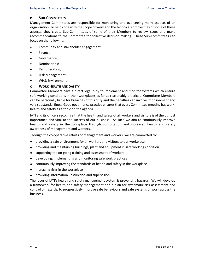#### **n. SUB‐COMMITTEES**

Management Committees are responsible for monitoring and overseeing many aspects of an organisation. To help cope with the scope of work and the technical complexities of some of these aspects, they create Sub‐Committees of some of their Members to review issues and make recommendations to the Committee for collective decision making. These Sub‐Committees can focus on the following:

- Community and stakeholder engagement
- Finance;
- Governance;
- Nominations;
- Remuneration;
- Risk Management
- WHS/Environment

#### **o. WORK HEALTH AND SAFETY**

Committee Members have a direct legal duty to implement and monitor systems which ensure safe working conditions in their workplaces as far as reasonably practical. Committee Members can be personally liable for breaches of this duty and the penalties can involve imprisonment and very substantial fines. Good governance practice ensures that every Committee meeting has work, health and safety as a topic on the agenda.

IATI and its officers recognise that the health and safety of all workers and visitors is of the utmost importance and vital to the success of our business. As such we aim to continuously improve health and safety in the workplace through consultation and increased health and safety awareness of management and workers.

Through the co-operative efforts of management and workers, we are committed to:

- providing a safe environment for all workers and visitors to our workplace  $\bullet$
- providing and maintaining buildings, plant and equipment in safe working condition  $\bullet$
- supporting the on‐going training and assessment of workers  $\bullet$
- developing, implementing and monitoring safe work practices  $\bullet$
- continuously improving the standards of health and safety in the workplace
- managing risks in the workplace  $\bullet$
- providing information, instruction and supervision.

The focus of IATI's health and safety management system is preventing hazards. We will develop a framework for health and safety management and a plan for systematic risk assessment and control of hazards, to progressively improve safe behaviours and safe systems of work across the business.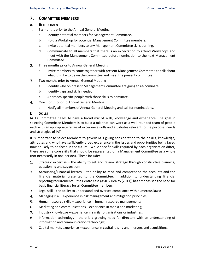# **7. COMMITTEE MEMBERS**

# **a. RECRUITMENT**

- 1. Six months prior to the Annual General Meeting
	- a. Identify potential members for Management Committee.
	- b. Hold a Workshop for potential Management Committee members.
	- c. Invite potential members to any Management Committee skills training.
	- d. Communicate to all members that there is an expectation to attend Workshops and meet with the Management Committee before nomination to the next Management Committee.
- 2. Three months prior to Annual General Meeting
	- a. Invite members to come together with present Management Committee to talk about what it is like to be on the committee and meet the present committee.
- Two months prior to Annual General Meeting 3.
	- a. Identify who on present Management Committee are going to re‐nominate.
	- b. Identify gaps and skills needed.
	- c. Approach specific people with those skills to nominate.
- 4. One month prior to Annual General Meeting
	- a. Notify all members of Annual General Meeting and call for nominations.

#### **b. SKILLS**

IATI's Committee needs to have a broad mix of skills, knowledge and experience. The goal in selecting Committee Members is to build a mix that can work as a well‐rounded team of people each with an appropriate range of experience skills and attributes relevant to the purpose, needs and strategies of IATI.

It is important to select Members to govern IATI giving consideration to their skills, knowledge, attributes and who have sufficiently broad experience in the issues and opportunities being faced now or likely to be faced in the future. While specific skills required by each organisation differ, there are some core skills that should be represented on a Management Committee as a whole (not necessarily in one person). These include:

- $1.$ Strategic expertise – the ability to set and review strategy through constructive planning, questioning and suggestion;
- $2.$ Accounting/Financial literacy – the ability to read and comprehend the accounts and the financial material presented to the Committee, in addition to understanding financial reporting requirements – the Centro case (ASIC v Healey (2011)) has emphasised the need for basic financial literacy for all Committee members;
- 3. Legal skill – the ability to understand and oversee compliance with numerous laws;
- 4. Managing risk – experience in risk management and mitigation principles;
- 5. Human resource skills – experience in human resource management;
- 6. Marketing and communications – experience in media and marketing;
- 7. Industry knowledge – experience in similar organisations or industries;
- 8. Information technology – there is a growing need for directors with an understanding of information and communication technology;
- 9. Capital markets experience – experience in capital raising and mergers and acquisitions.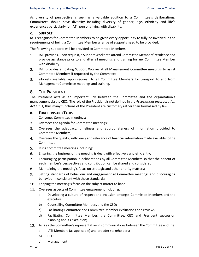As diversity of perspective is seen as a valuable addition to a Committee's deliberations, Committees should have diversity including diversity of gender, age, ethnicity and life's experiences particularly for IATI, persons living with disability.

#### **c. SUPPORT**

IATI recognises for Committee Members to be given every opportunity to fully be involved in the requirements of being a Committee Member a range of supports need to be provided.

The following supports will be provided to Committee Members:

- $1.$ IATI provides, upon request, a Support Worker to attend Committee Members' residence and provide assistance prior to and after all meetings and training for any Committee Member with disability.
- $2.$ IATI provides a floating Support Worker at all Management Committee meetings to assist Committee Members if requested by the Committee.
- 3. eTickets available, upon request, to all Committee Members for transport to and from Management Committee meetings and training.

# **8. THE PRESIDENT**

The President acts as an important link between the Committee and the organisation's management via the CEO. The role of the President is not defined in the *Associations Incorporation Act 1981*, thus many functions of the President are customary rather than formalised by law.

#### **a. FUNCTIONS AND TASKS**

- $1.$ Convenes Committee meetings;
- $2.$ Oversees the agenda for Committee meetings;
- 3. Oversees the adequacy, timeliness and appropriateness of information provided to Committee Members;
- 4. Oversees the quality, sufficiency and relevance of financial information made available to the Committee;
- 5. Runs Committee meetings including:
- 6. Ensuring the business of the meeting is dealt with effectively and efficiently;
- 7. Encouraging participation in deliberations by all Committee Members so that the benefit of each member's perspectives and contribution can be shared and considered;
- 8. Maintaining the meeting's focus on strategic and other priority matters;
- 9. Setting standards of behaviour and engagement at Committee meetings and discouraging behaviour inconsistent with those standards;
- Keeping the meeting's focus on the subject matter to hand. 10.
- 11. Oversees aspects of Committee engagement including:
	- a) Developing a culture of respect and inclusion amongst Committee Members and the executive;
	- b) Counselling Committee Members and the CEO;
	- c) Facilitating Committee and Committee Member evaluations and reviews;
	- d) Facilitating Committee Member, the Committee, CEO and President succession planning and its execution;
- Acts as the Committee's representative in communications between the Committee and the:
	- a) IATI Members (as applicable) and broader stakeholders;
	- b) CEO;
	- c) Management;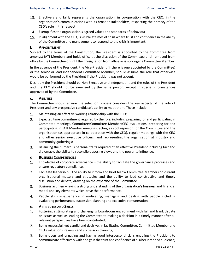- 13. Effectively and fairly represents the organisation, in co-operation with the CEO, in the organisation's communications with its broader stakeholders, respecting the primacy of the CEO's role in this respect;
- Exemplifies the organisation's agreed values and standards of behaviour;
- 15. In alignment with the CEO, is visible at times of crisis where trust and confidence in the ability of the Committee and management to respond to the crisis is important.

#### **b. APPOINTMENT**

Subject to the terms of the Constitution, the President is appointed to the Committee from amongst IATI Members and holds office at the discretion of the Committee until removed from office by the Committee or until their resignation from office or is no longer a Committee Member.

In the absence of the President, the Vice-President (if there is one appointed by the Committee) or the senior or lead independent Committee Member, should assume the role that otherwise would be performed by the President if the President was not absent.

Desirably the President should be Non‐Executive and independent and the roles of the President and the CEO should not be exercised by the same person, except in special circumstances approved of by the Committee.

#### **c. ABILITIES**

The Committee should ensure the selection process considers the key aspects of the role of President and any prospective candidate's ability to meet them. These include:

- 1. Maintaining an effective working relationship with the CEO;
- $2.$ Expected time commitment required by the role, including preparing for and participating in Committee meetings, Committee/Committee Member/CEO evaluations, preparing for and participating in IATI Member meetings, acting as spokesperson for the Committee and the organisation (as appropriate in co‐operation with the CEO), regular meetings with the CEO and other senior executive officers, and representing the organisation at industry and community gatherings;
- 3. Balancing the numerous personal traits required of an effective President including tact and diplomacy, the ability to reconcile opposing views and the power to influence.

#### **d. BUSINESS COMPETENCIES**

- $1.$ Knowledge of corporate governance – the ability to facilitate the governance processes and ensure regulatory compliance.
- $2.$ Facilitate leadership – the ability to inform and brief fellow Committee Members on current organisational matters and strategies and the ability to lead constructive and timely discussion and debate, drawing on the expertise of the Committee.
- 3. Business acumen –having a strong understanding of the organisation's business and financial model and key elements which drive their performance.
- 4. People skills – experience in motivating, managing and dealing with people including evaluating performance, succession planning and executive remuneration.

#### **e. ATTRIBUTES AND SKILLS**

- $1.$ Fostering a stimulating and challenging boardroom environment with full and frank debate on issues as well as leading the Committee to making a decision in a timely manner after all relevant perspectives have been contributed;
- 2. Being respectful, yet candid and decisive, in facilitating Committee, Committee Member and CEO evaluations, reviews and succession planning;
- Being open and engaging and having good interpersonal skills enabling the President to 3. communicate effectively with and gain the trust and confidence of his/her intended audience;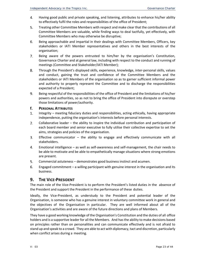- 4. Having good public and private speaking, and listening, attributes to enhance his/her ability to effectively fulfil the roles and responsibilities of the office of President;
- 5. Treating other Committee Members with respect and make clear that the contributions of all Committee Members are valuable, while finding ways to deal tactfully, yet effectively, with Committee Members who may otherwise be disruptive;
- 6. Being approachable and impartial in their dealings with Committee Members, Officers, key stakeholders or IATI Member representatives and others in the best interests of the organisation;
- 7. Being aware of the powers entrusted to him/her by the organisation's Constitution, Governance Charter and at general law, including with respect to the conduct and running of meetings (Committee and Stakeholder/IATI Member);
- 8. Through the President's displayed skills, experience, knowledge, inter‐personal skills, values and conduct, gaining the trust and confidence of the Committee Members and the stakeholders or IATI Members of the organisation so as to garner sufficient informal power and authority to properly represent the Committee and to discharge the responsibilities expected of a President;
- 9. Being respectful of the responsibilities of the office of President and the limitations of his/her powers and authorities, so as not to bring the office of President into disrepute or overstep those limitations of power/authority.

#### **f. PERSONAL ATTRIBUTES**

- Integrity meeting fiduciary duties and responsibilities, acting ethically, having appropriate 1. independence, putting the organisation's interests before personal interests.
- 2. Collaborative leader – the ability to inspire the individual contribution and participation of each board member and senior executive to fully utilise their collective expertise to set the aims, strategies and policies of the organisation.
- $3.$ Effective communicator  $-$  the ability to engage and effectively communicate with all stakeholders.
- 4. Emotional intelligence – as well as self‐awareness and self‐management, the chair needs to be able to motivate and be able to empathetically manage situations where strong emotions are present.
- 5. Commercial astuteness – demonstrates good business instinct and acumen.
- 6. Engaged commitment – a willing participant with genuine interest in the organisation and its business.

# **9. THE VICE‐PRESIDENT**

The main role of the Vice‐President is to perform the President's listed duties in the absence of the President and support the President in the performance of these duties.

Ideally, the Vice‐President, as understudy to the President and potential leader of the Organisation, is someone who has a genuine interest in voluntary committee work in general and the objectives of the Organisation in particular. They are well informed about all of the Organisation's activities and are aware of the future directions and plans of Members.

They have a good working knowledge of the Organisation's Constitution and the duties of all office holders and is a supportive leader for all the Members. And has the ability to make decisions based on principles rather than on personalities and can communicate effectively and is not afraid to stand up and speak to a crowd. They are able to act with diplomacy, tact and discretion, particularly when conflict arises during a meeting.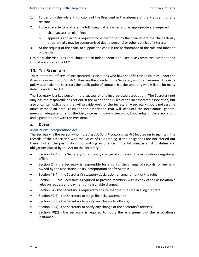- 1. To perform the role and functions of the President in the absence of the President for any reason;
- 2. To be available to facilitate the following matters when and as appropriate and required:
	- a. chair succession planning;
	- b. approvals and actions required to be performed by the chair where the chair actually or potentially may be compromised due to personal or other conflict of interest;
- 3. At the request of the chair, to support the chair in the performance of the role and function of the chair.

Desirably, the Vice-President should be an independent Non-Executive Committee Member and should not also be the CEO.

# **10. THE SECRETARY**

There are three officers of incorporated associations who have specific responsibilities under the *Associations Incorporation Act*. They are the President, the Secretary and the Treasurer. The Act's policy is to make the Secretary the public point of contact. It is the secretary who is liable for many defaults under the Act.

The Secretary is a key person in the success of any incorporated association. The Secretary not only has the responsibilities set out in the Act and the Rules of the incorporated association, but also unwritten obligations that will provide work for the Secretary. A secretary should not assume office without an enthusiasm for the association that will last until the next annual general meeting, adequate time for the task, interest in committee work, knowledge of the association, and a good rapport with the President.

# **a. DUTIES**

#### Associations Incorporations Act

The Secretary is the person whom the *Associations Incorporation Act* focuses on to maintain the records of the association with the Office of Fair Trading. If the obligations are not carried out there is often the possibility of committing an offence. The following is a list of duties and obligations placed by the Act on the Secretary:

- Section 17(4) the Secretary to notify any change of address of the association's registered office;
- Section 24 the Secretary is responsible for ensuring the change of records for any land owned by the association on its incorporation or afterwards;
- Section 48(4) the Secretary's statutory declaration on amendment of the rules;
- Section 53 the Secretary is required to provide members with a copy of the association's rules on request and payment of reasonable charges;
- Section 54 the Secretary is required to ensure that the rules are in a legible state;
- Section 59(4) the Secretary to lodge financial statements;
- Section 68(3) the Secretary to notify any change to officers;
- Section 68(4) the Secretary to notify any change of the Secretary's address;
- Section 70(2) the Secretary is required to notify the arrangement of the association's insurance.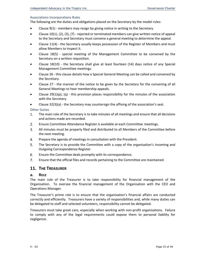#### Associations Incorporations Rules

The following are the duties and obligations placed on the Secretary by the model rules:

- Clause 9(1) ‐ members may resign by giving notice in writing to the Secretary.
- Clause 10(1), (2), (3), (7) ‐ rejected or terminated members can give written notice of appeal to the Secretary and Secretary must convene a general meeting to determine the appeal.
- Clause 11(4) the Secretary usually keeps possession of the Register of Members and must allow Members to inspect it.
- Clause 18(5) special meeting of the Management Committee to be convened by the Secretary on a written requisition.
- Clause 18(10) the Secretary shall give at least fourteen (14) days notice of any Special Management Committee meetings.
- Clause 26 ‐ this clause details how a Special General Meeting can be called and convened by the Secretary.
- Clause 27 ‐ the manner of the notice to be given by the Secretary for the convening of all General Meetings to hear membership appeals.
- Clause  $29(1)(p)$ , (q) this provision places responsibility for the minutes of the association with the Secretary.
- Clause 32(3)(a) the Secretary may countersign the affixing of the association's seal.

#### Other Duties

- $1<sup>1</sup>$ The main role of the Secretary is to take minutes of all meetings and ensure that all decisions and actions made are recorded.
- 2. Ensure Committee Attendance Register is available at each Committee meetings.
- 3. All minutes must be properly filed and distributed to all Members of the Committee before the next meeting.
- 4. Prepare the agenda of meetings in consultation with the President.
- 5. The Secretary is to provide the Committee with a copy of the organisation's Incoming and Outgoing Correspondence Register.
- 6. Ensure the Committee deals promptly with its correspondence.
- $7<sub>1</sub>$ Ensure that the official files and records pertaining to the Committee are maintained.

# **11. THE TREASURER**

#### **a. ROLE**

The main role of the Treasurer is to take responsibility for financial management of the Organisation. To oversee the financial management of the Organisation with the CEO and Operations Manager.

The Treasurer's prime role is to ensure that the organisation's financial affairs are conducted correctly and efficiently. Treasurers have a variety of responsibilities and, while many duties can be delegated to staff and selected volunteers, responsibility cannot be delegated.

Treasurers must take great care, especially when working with non‐profit organisations. Failure to comply with any of the legal requirements could expose them to personal liability for negligence.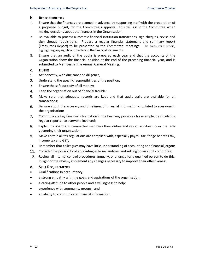# **b. RESPONSIBILITIES**

- 1. Ensure that the finances are planned in advance by supporting staff with the preparation of a proposed budget, for the Committee's approval. This will assist the Committee when making decisions about the finances in the Organisation.
- 2. Be available to process automatic financial institution transactions, sign cheques, revise and sign cheque requisitions. Prepare a regular financial statement and summary report (Treasurer's Report) to be presented to the Committee meetings. The treasurer's report, highlighting any significant matters in the financial statements.
- 3. Ensure that an audit of the books is prepared each year and that the accounts of the Organisation show the financial position at the end of the preceding financial year, and is submitted to Members at the Annual General Meeting.

#### **c. DUTIES**

- 1. Act honestly, with due care and diligence;
- 2. Understand the specific responsibilities of the position;
- 3. Ensure the safe custody of all money;
- 4. Keep the organisation out of financial trouble;
- 5. Make sure that adequate records are kept and that audit trails are available for all transactions;
- 6. Be sure about the accuracy and timeliness of financial information circulated to everyone in the organisation;
- 7. Communicate key financial information in the best way possible ‐ for example, by circulating regular reports ‐ to everyone involved;
- 8. Explain to board and committee members their duties and responsibilities under the laws governing their organisation;
- 9. Make certain all tax regulations are complied with, especially payroll tax, fringe benefits tax, income tax and GST;
- 10. Remember that colleagues may have little understanding of accounting and financial jargon;
- Consider the possibility of appointing external auditors and setting up an audit committee;
- 12. Review all internal control procedures annually, or arrange for a qualified person to do this. In light of the review, implement any changes necessary to improve their effectiveness;

#### **d. SKILL REQUIREMENTS**

- Qualifications in accountancy;
- a strong empathy with the goals and aspirations of the organisation;
- a caring attitude to other people and a willingness to help;
- experience with community groups; and
- an ability to communicate financial information.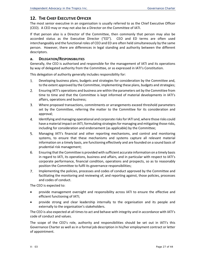# **12. THE CHIEF EXECUTIVE OFFICER**

The most senior executive in an organisation is usually referred to as the Chief Executive Officer (CEO). A CEO may or may not also be a Director on the Committee of IATI.

If that person also is a Director of the Committee, then commonly that person may also be accorded status as the Executive Director ("ED"). CEO and ED terms are often used interchangeably and the functional roles of CEO and ED are often held simultaneously by the same person. However, there are differences in legal standing and authority between the different descriptors.

# **a. DELEGATION/RESPONSIBILITIES**

Generally, the CEO is authorised and responsible for the management of IATI and its operations by way of delegated authority from the Committee, or as expressed in IATI's Constitution.

This delegation of authority generally includes responsibility for:

- Developing business plans, budgets and strategies for consideration by the Committee and, 1. to the extent approved by the Committee, implementing these plans, budgets and strategies;
- 2. Ensuring IATI's operations and business are within the parameters set by the Committee from time to time and that the Committee is kept informed of material developments in IATI's affairs, operations and business;
- 3. Where proposed transactions, commitments or arrangements exceed threshold parameters set by the Committee, referring the matter to the Committee for its consideration and approval;
- 4. Identifying and managing operational and corporate risks for IATI and, where those risks could have a material impact on IATI, formulating strategies for managing and mitigating those risks, including for consideration and endorsement (as applicable) by the Committee;
- 5. Managing IATI's financial and other reporting mechanisms, and control and monitoring systems, to ensure that these mechanisms and systems capture all relevant material information on a timely basis, are functioning effectively and are founded on a sound basis of prudential risk management;
- 6. Ensuring that the Committee is provided with sufficient accurate information on a timely basis in regard to IATI, its operations, business and affairs, and in particular with respect to IATI's corporate performance, financial condition, operations and prospects, so as to reasonably position the Committee to fulfil its governance responsibilities;
- 7. Implementing the policies, processes and codes of conduct approved by the Committee and facilitating the monitoring and reviewing of, and reporting against, those policies, processes and codes of conduct.

The CEO is expected to:

- **•** provide management oversight and responsibility across IATI to ensure the effective and efficient functioning of IATI;
- provide strong and clear leadership internally to the organisation and its people and externally to the organisation's stakeholders.

The CEO is also expected at all times to act and behave with integrity and in accordance with IATI's code of conduct and values.

The scope of the CEO's role, authority and responsibilities should be set out in IATI's this Governance Charter as well as in a formal job description in his/her employment contract or letter of appointment.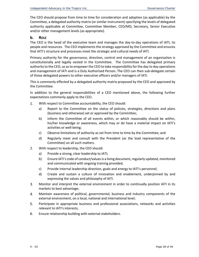The CEO should propose from time to time for consideration and adoption (as applicable) by the Committee, a delegated authority matrix (or similar instrument) specifying the levels of delegated authority applicable at Committee, Committee Member, CEO/MD, Secretary, Senior Executive and/or other management levels (as appropriate).

# **b. ROLE**

The CEO is the head of the executive team and manages the day-to-day operations of IATI, its people and resources. The CEO implements the strategy approved by the Committee and ensures that IATI's structure and processes meet the strategic and cultural needs of IATI.

Primary authority for the governance, direction, control and management of an organisation is constitutionally and legally vested in the Committee. The Committee has delegated primary authority to the CEO, so as to empower the CEO to take responsibility for the day to day operations and management of IATI and is a Duly Authorised Person. The CEO can then sub-delegate certain of those delegated powers to other executive officers and/or managers of IATI.

This is commonly effected by a delegated authority matrix proposed by the CEO and approved by the Committee.

In addition to the general responsibilities of a CEO mentioned above, the following further expectations commonly apply to the CEO.

- 1. With respect to Committee accountability, the CEO should:
	- a) Report to the Committee on the status of policies, strategies, directions and plans (business and otherwise) set or approved by the Committee;
	- b) Inform the Committee of all events within, or which reasonably should be within, his/her knowledge or awareness, which may or do have a material impact on IATI's activities or well‐being;
	- c) Observe limitations of authority as set from time to time by the Committee; and
	- d) Regularly meet and consult with the President (as the lead representative of the Committee) on all such matters.
- 2. With respect to leadership, the CEO should:
	- a) Provide a strong, clear leadership to IATI;
	- b) Ensure IATI's code of conduct/values is a living document, regularly updated, monitored and communicated with ongoing training provided;
	- c) Provide internal leadership direction, goals and energy to IATI's personnel;
	- d) Create and sustain a culture of innovation and enablement, underpinned by and expressing the values and philosophy of IATI.
- Monitor and interpret the external environment in order to continually position IATI in its 3. markets to best advantage;
- 4. Maintain awareness of political, governmental, business and industry components of the external environment, on a local, national and international level;
- 5. Participate in appropriate business and professional associations, networks and activities relevant to IATI's interests;
- 6. Ensure relationship building with external stakeholders.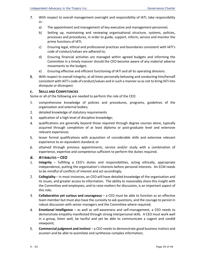- 7. With respect to overall management oversight and responsibility of IATI, take responsibility in:
	- a) The appointment and management of key executive and management personnel;
	- b) Setting up, maintaining and reviewing organisational structure, systems, policies, processes and procedures, in order to guide, support, inform, service and monitor the prime functions of IATI;
	- c) Ensuring legal, ethical and professional practices and boundaries consistent with IATI's code of conduct/values are adhered to;
	- d) Ensuring financial activities are managed within agreed budgets and informing the Committee in a timely manner should the CEO become aware of any material adverse movements to the budget;
	- e) Ensuring effective and efficient functioning of IATI and all its operating divisions.
- 8. With respect to overall integrity, at all times personally behaving and conducting him/herself consistent with IATI's code of conduct/values and in such a manner so as not to bring IATI into disrepute or disrespect.

#### **c. SKILLS AND COMPETENCIES**

Some or all of the following are needed to perform the role of the CEO:

- 1. comprehensive knowledge of policies and procedures, programs, guidelines of the organisation and external bodies;
- $2.$ detailed knowledge of statutory requirements
- 3. application of a high level of discipline knowledge;
- 4. qualifications are generally beyond those required through degree courses alone, typically acquired through completion of at least diploma or post-graduate level and extensive relevant experience;
- 5. lesser formal qualifications with acquisition of considerable skills and extensive relevant experience to an equivalent standard; or
- 6. attained through previous appointments, service and/or study with a combination of experience, expertise and competence sufficient to perform the duties required.
- **d. ATTRIBUTES – CEO**
- 1. **Integrity** – fulfilling a CEO's duties and responsibilities, acting ethically, appropriate independence, putting the organisation's interests before personal interests. An ECM needs to be mindful of conflicts of interest and act accordingly;
- $2.$ **Collegiality** – in most instances, an CEO will have detailed knowledge of the organisation and its issues, and greater access to information. The ability to reasonably share this insight with the Committee and employees, and to raise matters for discussion, is an important aspect of this role;
- 3. **Collaborative yet curious and courageous** – a CEO must be able to function as an effective team member but must also have the curiosity to ask questions, and the courage to persist in robust discussion with senior managers and the Committee where required;
- 4. **Emotional intelligence** – as well as self‐awareness and self‐management, a CEO needs to demonstrate empathy manifested through strong interpersonal skills. A CEO must work well in a group, listen well, be tactful and yet be able to communicate a cogent and candid viewpoint;
- 5. **Commercial judgment and instinct** – a CEO needs to demonstrate good business instinct and acumen and be able to assimilate and synthesise complex information;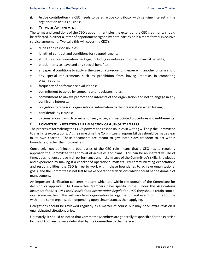6. **Active contribution** ‐ a CEO needs to be an active contributor with genuine interest in the organisation and its business.

#### **e. TERMS OF APPOINTMENT**

The terms and conditions of the CEO's appointment plus the extent of the CEO's authority should be reflected in either a letter of appointment signed by both parties or in a more formal executive service agreement. Typically this will cover the CEO's:

- duties and responsibilities;
- **•** length of contract and conditions for reappointment;
- structure of remuneration package, including incentives and other financial benefits;
- entitlements to leave and any special benefits;
- any special conditions to apply in the case of a takeover or merger with another organisation;
- any special requirements such as prohibition from having interests in competing organisations;
- frequency of performance evaluations;
- commitment to abide by company and regulators' rules;
- commitment to always promote the interests of the organisation and not to engage in any conflicting interests;
- obligation to return all organisational information to the organisation when leaving;
- confidentiality clauses;
- circumstances in which termination may occur, and associated procedures and entitlements.

#### **f. COMMITTEE EXPECTATIONS OF DELEGATION OF AUTHORITY TO CEO**

The process of formalising the CEO's powers and responsibilities in writing will help the Committee to clarify its expectations. At the same time the Committee's responsibilities should be made clear in its own charter. These documents are meant to give both sides freedom to act within boundaries, rather than to constrain.

Conversely, not defining the boundaries of the CEO role means that a CEO has to regularly approach the Committee for approval of activities and plans. This can be an ineffective use of time, does not encourage high performance and risks misuse of the Committee's skills, knowledge and experience by making it a checker of operational matters. By communicating expectations and responsibilities, the CEO is free to work within these boundaries to achieve organisational goals, and the Committee is not left to make operational decisions which should be the domain of management.

An important clarification concerns matters which are within the domain of the Committee for decision or approval. As Committee Members have specific duties under the *Associations Incorporations Act 1981* and *Associations Incorporation Regulation 1999* they should retain control over some matters. This will vary from organisation to organisation and even from time to time within the same organisation depending upon circumstances then applying.

Delegations should be reviewed regularly as a matter of course but may need extra revision if unanticipated situations arise.

Ultimately, it should be noted that Committee Members are generally responsible for the exercise by the CEO of any powers delegated by the Committee to that person.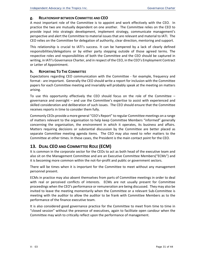# **g. RELATIONSHIP BETWEEN COMMITTEE AND CEO**

A most important role of the Committee is to appoint and work effectively with the CEO. In practice the two are mutually dependent on one another. The Committee relies on the CEO to provide input into strategic development, implement strategy, communicate management's perspective and alert the Committee to material issues that are relevant and material to IATI. The CEO relies on the Committee for delegation of authority, clear direction, mentoring and support.

This relationship is crucial to IATI's success. It can be hampered by a lack of clearly defined responsibilities/delegations or by either party stepping outside of those agreed terms. The respective roles and responsibilities of both the Committee and the CEO should be captured in writing, in IATI's Governance Charter, and in respect of the CEO, in the CEO's Employment Contract or Letter of Appointment.

#### **h. REPORTING TO THE COMMITTEE**

Expectations regarding CEO communication with the Committee - for example, frequency and format - are important. Generally the CEO should write a report for inclusion with the Committee papers for each Committee meeting and invariably will probably speak at the meeting on matters arising.

To use this opportunity effectively the CEO should focus on the role of the Committee  $$ governance and oversight – and use the Committee's expertise to assist with experienced and skilled consideration and deliberation of such issues. The CEO should ensure that the Committee receives reports in time to consider them fully.

Commonly CEOs provide a more general "CEO's Report" to regular Committee meetings on a range of matters relevant to the organisation to help keep Committee Members "informed" generally concerning the organisation, the environment in which it operates, its business and affairs. Matters requiring decisions or substantial discussion by the Committee are better placed as separate Committee meeting agenda items. The CEO may also need to refer matters to the Committee at other times. In these cases, the President is the main contact point for the CEO.

# **13. DUAL CEO AND COMMITTEE ROLE (ECM)**

It is common in the corporate sector for the CEOs to act as both head of the executive team and also sit on the Management Committee and are an Executive Committee Members("ECMs") and it is becoming more common within the not-for-profit and public or government sectors.

There will be times when it is important for the Committee to meet without any management personnel present.

ECMs in practice may also absent themselves from parts of Committee meetings in order to deal with real or perceived conflicts of interests. ECMs are not usually present for Committee proceedings when the CEO's performance or remuneration are being discussed. They may also be invited to leave the meeting momentarily when the Committee or a relevant Sub‐Committee is meeting with the auditor to allow the auditor to be frank with Committee Members as to the performance of the finance executive team.

It is also considered good governance practice for the Committee to meet from time to time in "closed session" without the presence of executives, again to facilitate open candour when the Committee may wish to critically reflect upon the performance of management.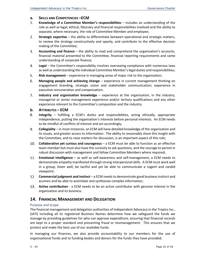#### **a. SKILLS AND COMPETENCIES –ECM**

- 1. **Knowledge of a Committee Member's responsibilities** – includes an understanding of the role as well as legal, ethical, fiduciary and financial responsibilities involved and the ability to separate, where necessary, the role of Committee Member and employee;
- 2. **Strategic expertise** – the ability to differentiate between operational and strategic matters, to review the strategy constructively and openly, and contribute to the effective decision making of the Committee;
- 3. **Accounting and finance** – the ability to read and comprehend the organisation's accounts, financial material presented to the Committee, financial reporting requirements and some understanding of corporate finance;
- 4. **Legal** – the Committee's responsibility involves overseeing compliance with numerous laws as well as understanding the individual Committee Member's legal duties and responsibilities;
- 5. **Risk management** – experience in managing areas of major risk to the organisation;
- 6. **Managing people and achieving change** – experience in current management thinking on engagement branding, strategic vision and stakeholder communication; experience in executive remuneration and compensation;
- 7. **Industry and organisation knowledge**  – experience at the organisation, in the industry, managerial or senior management experience and/or tertiary qualifications and any other experience relevant to the Committee's composition and the industry.
- **b. ATTRIBUTES – ECM**
- 8. **Integrity**  – fulfilling a ECM's duties and responsibilities, acting ethically, appropriate independence, putting the organisation's interests before personal interests. An ECM needs to be mindful of conflicts of interest and act accordingly;
- 9. **Collegiality** – in most instances, an ECM will have detailed knowledge of the organisation and its issues, and greater access to information. The ability to reasonably share this insight with the Committee, and to raise matters for discussion, is an important aspect of this role;
- **Collaborative yet curious and courageous**  a ECM must be able to function as an effective team member but must also have the curiosity to ask questions, and the courage to persist in robust discussion with management and fellow Committee Members where required;
- **Emotional intelligence**  as well as self‐awareness and self‐management, a ECM needs to demonstrate empathy manifested through strong interpersonal skills. A ECM must work well in a group, listen well, be tactful and yet be able to communicate a cogent and candid viewpoint;
- **Commercial judgment and instinct**  a ECM needs to demonstrate good business instinct and acumen and be able to assimilate and synthesise complex information;
- **13.** Active contribution a ECM needs to be an active contributor with genuine interest in the organisation and its business.

# **14. FINANCIAL MANAGEMENT AND DELEGATION**

#### Purpose and Scope

The financial management and delegation authorities of Independent Advocacy in the Tropics Inc., (IATI) including all its registered Business Names determine how we safeguard the funds we manage by providing guidelines for who can approve expenditure, ensuring that financial records are kept to a proper standard and preventing fraud or mismanagement. This ensures that we protect and make the best use of our available funds.

In managing our finances, we also provide accountability to our members for the use of organisational funds and to funding bodies and donors for the funds they have provided.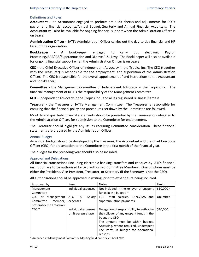#### Definitions and Roles

**Accountant -** an Accountant engaged to preform pre-audit checks and adjustments for EOFY payroll and financial accounts/Annual Budget/Quarterly and Annual Financial Acquittals. The Accountant will also be available for ongoing financial support when the Administration Officer is on Leave.

Administration Officer - IATI's Administration Officer carries out the day-to-day financial and HR tasks of the organisation.

**Bookkeeper ‐ A** bookkeeper engaged to carry out electronic Payroll Processing/BAS/IAS/Superannuation and QLeave PLSL Levy. The Bookkeeper will also be available for ongoing financial support when the Administration Officer is on Leave.

**CEO ‐** the Chief Executive Officer of Independent Advocacy in the Tropics Inc. The CEO (together with the Treasurer) is responsible for the employment, and supervision of the Administration Officer. The CEO is responsible for the overall appointment of and instructions to the Accountant and Bookkeeper;

**Committee -** the Management Committee of Independent Advocacy in the Tropics Inc. The financial management of IATI is the responsibility of the Management Committee.

**IATI –** Independent Advocacy in the Tropics Inc., and all its registered Business Names/

**Treasurer -** the Treasurer of IATI's Management Committee. The Treasurer is responsible for ensuring that the financial policy and procedures set down by the Committee are followed.

Monthly and quarterly financial statements should be presented by the Treasurer or delegated to the Administration Officer, for submission to the Committee for endorsement.

The Treasurer should highlight any issues requiring Committee consideration. These financial statements are prepared by the Administration Officer.

#### Annual Budget

An annual budget should be developed by the Treasurer, the Accountant and the Chief Executive Officer (CEO) for presentation to the Committee in the first month of the financial year.

The budget for the preceding year should also be included.

#### Approval and Delegations

All financial transactions (including electronic banking, transfers and cheques by IATI's financial institution are to be authorised by two authorised Committee Members. One of whom must be either the President, Vice‐President, Treasurer, or Secretary (if the Secretary is not the CEO).

All authorisations should be approved in writing, prior to expenditure being incurred.

| Approved by              | <b>Item</b>               | <b>Notes</b>                              | Limit     |
|--------------------------|---------------------------|-------------------------------------------|-----------|
| Management               | Individual expenses       | Not included in the rollover of unspent   | \$10,000> |
| Committee                |                           | funds in the budget. *                    |           |
| CEO.<br>Management<br>or | &<br><b>ATO</b><br>Salary | staff salaries, PAYG/BAS and<br>EG:       | Unlimited |
| Committee<br>member,     | expenses                  | superannuation payments.                  |           |
| preferably the Treasurer |                           |                                           |           |
| CEO <sup>*</sup>         | Individual expenses       | Delegation of responsibility to authorise | \$10,000  |
|                          | Limit per purchase        | the rollover of any unspent funds in the  |           |
|                          |                           | budget to CEO.                            |           |
|                          |                           | The amount must be within budget.         |           |
|                          |                           | Accessing, where required, underspent     |           |
|                          |                           | line items in budget for operational      |           |
|                          |                           | reasons.                                  |           |

\* Amended at Management Committee Meeting held on Friday 9 April 2021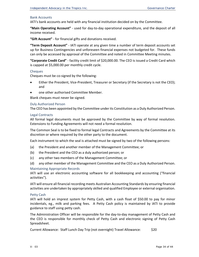#### Bank Accounts

IATI's bank accounts are held with any financial institution decided on by the Committee.

**"Main Operating Account"** ‐ used for day‐to‐day operational expenditure, and the deposit of all income received.

**"Gift Account"** ‐ for financial gifts and donations received.

**"Term Deposit Account"** ‐ IATI operate at any given time a number of term deposit accounts set up for Business Contingencies and unforeseen financial expenses not budgeted for. These funds can only be accessed by approval of the Committee and noted in Committee Meeting minutes.

**"Corporate Credit Card"** ‐ facility credit limit of \$20,000.00. The CEO is issued a Credit Card which is capped at \$5,000.00 per monthly credit cycle.

#### **Cheques**

Cheques must be co‐signed by the following:

- Either the President, Vice‐President, Treasurer or Secretary (if the Secretary is not the CEO); and
- one other authorised Committee Member.

Blank cheques must never be signed.

#### Duly Authorized Person

The CEO has been appointed by the Committee under its Constitution as a Duly Authorized Person.

#### Legal Contracts

All formal legal documents must be approved by the Committee by way of formal resolution. Extensions to Funding Agreements will not need a formal resolution.

The Common Seal is to be fixed to formal legal Contracts and Agreements by the Committee at its discretion or where required by the other party to the document.

Each instrument to which the seal is attached must be signed by two of the following persons:

- (a) the President and another member of the Management Committee; or
- (b) the President and the CEO as a duly authorized person; or
- (c) any other two members of the Management Committee; or
- (d) any other member of the Management Committee and the CEO as a Duly Authorized Person.

#### Maintaining Appropriate Records

IATI will use an electronic accounting software for all bookkeeping and accounting ("financial activities").

IATI will ensure all financial recording meets Australian Accounting Standards by ensuring financial activities are undertaken by appropriately skilled and qualified Employee or external organisation.

#### Petty Cash

IATI will hold an imprest system for Petty Cash, with a cash float of \$50.00 to pay for minor incidentals, eg., milk and parking fees. A Petty Cash policy is maintained by IATI to provide guidance to staff using petty cash.

The Administration Officer will be responsible for the day-to-day management of Petty Cash and the CEO is responsible for monthly check of Petty Cash and electronic signing of Petty Cash Spreadsheet.

Current Allowance: Staff Lunch Day Trip (not overnight) Travel Allowance: \$20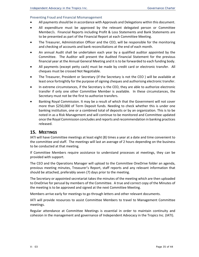#### Preventing Fraud and Financial Mismanagement

- All payments should be in accordance with Approvals and Delegations within this document.
- All expenditure must be approved by the relevant delegated person or Committee Member/s. Financial Reports including Profit & Loss Statements and Bank Statements are to be presented as part of the Financial Report at each Committee Meeting.
- The Treasurer, Administration Officer and the CEO, will be responsible for the monitoring and checking of accounts and bank reconciliations at the end of each month.
- An annual Audit shall be undertaken each year by a qualified auditor appointed by the Committee. The Auditor will present the Audited Financial Statement for the previous financial year at the Annual General Meeting and it is to be forwarded to each funding body.
- All payments (except petty cash) must be made by credit card or electronic transfer. All cheques must be crossed Not Negotiable.
- The Treasurer, President or Secretary (if the Secretary is not the CEO ) will be available at least once fortnightly for the purpose of signing cheques and authorising electronic transfer.
- In extreme circumstances, if the Secretary is the CEO, they are able to authorize electronic transfer if only one other Committee Member is available. In these circumstances, the Secretary must not be the first to authorize transfers.
- Banking Royal Commission. It may be a result of which that the Government will not cover more than \$250,000 of Term Deposit funds. Needing to check whether this is under one banking institution, one or a combined total of deposits or by an organization. This is to be noted in as a Risk Management and will continue to be monitored and Committee updated once the Royal Commission concludes and reports and recommendation in banking practices released.

# **15. MEETINGS**

IATI will have Committee meetings at least eight (8) times a year at a date and time convenient to the committee and staff. The meetings will last an average of 2 hours depending on the business to be conducted at that meeting.

If Committee Members require assistance to understand processes at meetings, they can be provided with support.

The CEO and the Operations Manager will upload to the Committee OneDrive folder an agenda, previous meeting minutes, Treasurer's Report, staff reports and any relevant information that should be attached, preferably seven (7) days prior to the meeting.

The Secretary or appointed secretariat takes the minutes of the meeting which are then uploaded to OneDrive for perusal by members of the Committee. A true and correct copy of the Minutes of the meeting is to be approved and signed at the next Committee Meeting.

Members arrive early for meetings to go through letters and other relevant documents.

IATI will provide resources to assist Committee Members to travel to Management Committee meetings.

Regular attendance at Committee Meetings is essential in order to maintain continuity and cohesion in the management and governance of Independent Advocacy in the Tropics Inc. (IATI).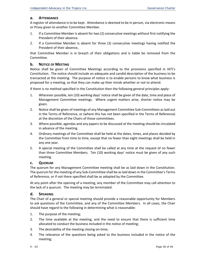#### **a. ATTENDANCE**

A register of attendance is to be kept. Attendance is deemed to be in person, via electronic means or Proxy given to another Committee Member.

- 1. If a Committee Member is absent for two (2) consecutive meetings without first notifying the President of their absence.
- 2. If a Committee Member is absent for three (3) consecutive meetings having notified the President of their absence,

that Committee Member is in breach of their obligations and is liable be removed from the Committee.

#### **b. NOTICE OF MEETING**

Notice shall be given of Committee Meetings according to the provisions specified in IATI's Constitution. The notice should include an adequate and candid description of the business to be transacted at the meeting. The purpose of notice is to enable persons to know what business is proposed for a meeting, so that they can make up their minds whether or not to attend.

If there is no method specified in the Constitution then the following general principles apply:

- 1. Wherever possible, ten (10) working days' notice shall be given of the date, time and place of Management Committee meetings. Where urgent matters arise, shorter notice may be given.
- 2. Notice shall be given of meetings of any Management Committee Sub‐Committees as laid out in the Terms of Reference, or (where this has not been specified in the Terms of Reference) at the discretion of the Chairs of those committees.
- 3. Where possible, agendas and any papers to be discussed at the meeting should be circulated in advance of the meeting.
- 4. Ordinary meetings of the Committee shall be held at the dates, times, and places decided by the Committee from time to time, except that no fewer than eight meetings shall be held in any one year.
- 5. A special meeting of the Committee shall be called at any time at the request of no fewer than three Committee Members. Ten (10) working days' notice must be given of any such meeting.

#### **c. QUORUM**

The quorum for any Management Committee meeting shall be as laid down in the Constitution. The quorum for the meeting of any Sub-Committee shall be as laid down in the Committee's Terms of Reference, or if not there specified shall be as adopted by the Committee.

At any point after the opening of a meeting, any member of the Committee may call attention to the lack of a quorum. The meeting may be terminated.

#### **d. SPEAKING**

The Chair of a general or special meeting should provide a reasonable opportunity for Members to ask questions of the Committee, and any of the Committee Members. In all cases, the Chair should have regard to the following in determining what is reasonable:

- 1. The purpose of the meeting;
- 2. The time available at the meeting, and the need to ensure that there is sufficient time allocated to conduct the business included in the notice of meeting;
- 3. The desirability of the meeting closing on‐time;
- 4. The relevance of the questions being asked to the business included in the notice of the meeting;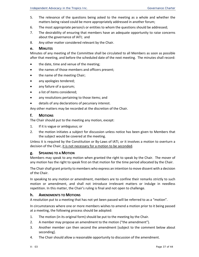- 5. The relevance of the questions being asked to the meeting as a whole and whether the matters being raised could be more appropriately addressed in another forum;
- 6. The most appropriate person/s or entities to whom the questions should be addressed;
- 7. The desirability of ensuring that members have an adequate opportunity to raise concerns about the governance of IATI; and
- 8. Any other matter considered relevant by the Chair.

#### **e. MINUTES**

Minutes of any meeting of the Committee shall be circulated to all Members as soon as possible after that meeting, and before the scheduled date of the next meeting. The minutes shall record:

- the date, time and venue of the meeting;
- the names of those members and officers present;
- the name of the meeting Chair;
- any apologies tendered;
- any failure of a quorum;
- a list of items considered;
- any resolutions pertaining to those items; and
- details of any declarations of pecuniary interest.

Any other matters may be recorded at the discretion of the Chair.

#### **f. MOTIONS**

The Chair should put to the meeting any motion, except:

- 1. If it is vague or ambiguous; or
- 2. the motion initiates a subject for discussion unless notice has been given to Members that the subject would be covered at the meeting.

Unless it is required by the Constitution or By‐Laws of IATI, or it involves a motion to overturn a decision of the Chair, it is not necessary for a motion to be seconded.

#### **g. SPEAKING TO A MOTION**

Members may speak to any motion when granted the right to speak by the Chair. The mover of any motion has the right to speak first on that motion for the time period allocated by the Chair.

The Chair shall grant priority to members who express an intention to move dissent with a decision of the Chair.

In speaking to any motion or amendment, members are to confine their remarks strictly to such motion or amendment, and shall not introduce irrelevant matters or indulge in needless repetition. In this matter, the Chair's ruling is final and not open to challenge.

#### **h. AMENDMENTS TO MOTIONS**

A resolution put to a meeting that has not yet been passed will be referred to as a "motion".

In circumstances where one or more members wishes to amend a motion prior to it being passed at a meeting, the following process should be adopted:

- 1. The motion (in its original form) should be put to the meeting by the Chair.
- 2. A member may propose an amendment to the motion ("the amendment").
- 3. Another member can then second the amendment [subject to the comment below about seconding].
- 4. The Chair should allow a reasonable opportunity to discussion of the amendment.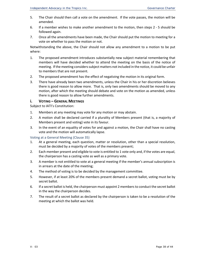- 5. The Chair should then call a vote on the amendment. If the vote passes, the motion will be amended.
- 6. If a member wishes to make another amendment to the motion, then steps 2 ‐ 5 should be followed again.
- 7. Once all the amendments have been made, the Chair should put the motion to meeting for a vote on whether to pass the motion or not.

Notwithstanding the above, the Chair should not allow any amendment to a motion to be put where:

- 1. The proposed amendment introduces substantially new subject material remembering that members will have decided whether to attend the meeting on the basis of the notice of meeting. If the meeting considers subject matters not included in the notice, it could be unfair to members that are not present.
- 2. The proposed amendment has the effect of negativing the motion in its original form.
- 3. There have already been two amendments, unless the Chair in his or her discretion believes there is good reason to allow more. That is, only two amendments should be moved to any motion, after which the meeting should debate and vote on the motion as amended, unless there is good reason to allow further amendments.

# **i. VOTING – GENERAL MEETINGS**

Subject to IATI's Constitution:

- 1. Members at any meeting may vote for any motion or may abstain.
- 2. A motion shall be declared carried if a plurality of Members present (that is, a majority of Members present and voting) vote in its favour.
- 3. In the event of an equality of votes for and against a motion, the Chair shall have no casting vote and the motion will automatically lapse.

#### Voting at a General Meeting (Clause 35)

- 1. At a general meeting, each question, matter or resolution, other than a special resolution, must be decided by a majority of votes of the members present;
- 2. Each member present and eligible to vote is entitled to 1 vote only and, if the votes are equal, the chairperson has a casting vote as well as a primary vote.
- 3. A member is not entitled to vote at a general meeting if the member's annual subscription is in arrears at the date of the meeting;
- 4. The method of voting is to be decided by the management committee.
- 5. However, if at least 20% of the members present demand a secret ballot, voting must be by secret ballot.
- 6. If a secret ballot is held, the chairperson must appoint 2 members to conduct the secret ballot in the way the chairperson decides.
- 7. The result of a secret ballot as declared by the chairperson is taken to be a resolution of the meeting at which the ballot was held.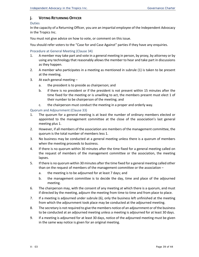# **j. VOTING RETURNING OFFICER**

#### Duties

In the capacity of a Returning Officer, you are an impartial employee of the Independent Advocacy in the Tropics Inc.

You must not give advice on how to vote, or comment on this issue.

You should refer voters to the "Case for and Case Against" parties if they have any enquiries.

#### Procedure at General Meeting (Clause 34)

- 1. A member may take part and vote in a general meeting in person, by proxy, by attorney or by using any technology that reasonably allows the member to hear and take part in discussions as they happen.
- 2. A member who participates in a meeting as mentioned in subrule (1) is taken to be present at the meeting.
- 3. At each general meeting
	- a. the president is to preside as chairperson; and
	- b. if there is no president or if the president is not present within 15 minutes after the time fixed for the meeting or is unwilling to act, the members present must elect 1 of their number to be chairperson of the meeting; and
	- c. the chairperson must conduct the meeting in a proper and orderly way.

#### Quorum and Adjournment (Clause 33)

- 1. The quorum for a general meeting is at least the number of ordinary members elected or appointed to the management committee at the close of the association's last general meeting plus 1.
- 2. However, if all members of the association are members of the management committee, the quorum is the total number of members less 1.
- 3. No business may be conducted at a general meeting unless there is a quorum of members when the meeting proceeds to business.
- 4. If there is no quorum within 30 minutes after the time fixed for a general meeting called on the request of members of the management committee or the association, the meeting lapses.
- 5. If there is no quorum within 30 minutes after the time fixed for a general meeting called other than on the request of members of the management committee or the association –
	- a. the meeting is to be adjourned for at least 7 days; and
	- b. the management committee is to decide the day, time and place of the adjourned meeting.
- 6. The chairperson may, with the consent of any meeting at which there is a quorum, and must if directed by the meeting, adjourn the meeting from time to time and from place to place.
- 7. If a meeting is adjourned under subrule (6), only the business left unfinished at the meeting from which the adjournment took place may be conducted at the adjourned meeting.
- 8. The secretary is not required to give the members notice of an adjournment or of the business to be conducted at an adjourned meeting unless a meeting is adjourned for at least 30 days.
- 9. If a meeting is adjourned for at least 30 days, notice of the adjourned meeting must be given in the same way notice is given for an original meeting.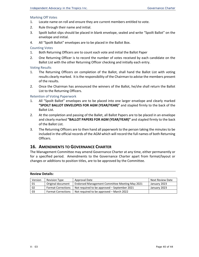#### Marking Off Votes

- 1. Locate name on roll and ensure they are current members entitled to vote.
- 2. Rule through their name and initial.
- 3. Spoilt ballot slips should be placed in blank envelope, sealed and write "Spoilt Ballot" on the envelope and initial.
- 4. All "Spoilt Ballot" envelopes are to be placed in the Ballot Box.

#### Counting Votes

- 1. Both Returning Officers are to count each vote and initial the Ballot Paper
- 2. One Returning Officer is to record the number of votes received by each candidate on the Ballot List with the other Returning Officer checking and initially each entry.

#### Voting Results

- 1. The Returning Officers on completion of the Ballot, shall hand the Ballot List with voting results clearly marked. It is the responsibility of the Chairman to advise the members present of the results.
- 2. Once the Chairman has announced the winners of the Ballot, he/she shall return the Ballot List to the Returning Officers.

#### Retention of Voting Paperwork

- 1. All "Spoilt Ballot" envelopes are to be placed into one larger envelope and clearly marked **"SPOILT BALLOT ENVELOPES FOR AGM (YEAR/YEAR)"** and stapled firmly to the back of the Ballot List.
- 2. At the completion and passing of the Ballet, all Ballot Papers are to be placed in an envelope and clearly marked **"BALLOT PAPERS FOR AGM (YEAR/YEAR)"** and stapled firmly to the back of the Ballot List.
- 3. The Returning Officers are to then hand all paperwork to the person taking the minutes to be included in the official records of the AGM which will record the full names of both Returning Officers.

# **16. AMENDMENTS TO GOVERNANCE CHARTER**

The Management Committee may amend Governance Charter at any time, either permanently or for a specified period. Amendments to the Governance Charter apart from format/layout or changes or additions to position titles, are to be approved by the Committee.

| Version | <b>Revision Type</b>      | Approval Date                                  | Next Review Date |
|---------|---------------------------|------------------------------------------------|------------------|
| 01      | Original document         | Endorsed Management Committee Meeting May 2021 | January 2023     |
| 02      | <b>Format Corrections</b> | Not required to be approved – September 2021   | January 2023     |
| 03      | <b>Format Corrections</b> | Not required to be approved – March 2022       |                  |

#### **Review Details:**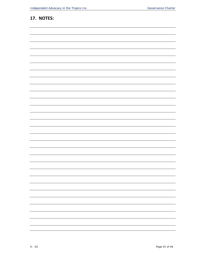| 17. NOTES: |  |  |  |  |  |
|------------|--|--|--|--|--|
|            |  |  |  |  |  |
|            |  |  |  |  |  |
|            |  |  |  |  |  |
|            |  |  |  |  |  |
|            |  |  |  |  |  |
|            |  |  |  |  |  |
|            |  |  |  |  |  |
|            |  |  |  |  |  |
|            |  |  |  |  |  |
|            |  |  |  |  |  |
|            |  |  |  |  |  |
|            |  |  |  |  |  |
|            |  |  |  |  |  |
|            |  |  |  |  |  |
|            |  |  |  |  |  |
|            |  |  |  |  |  |
|            |  |  |  |  |  |
|            |  |  |  |  |  |
|            |  |  |  |  |  |
|            |  |  |  |  |  |
|            |  |  |  |  |  |
|            |  |  |  |  |  |
|            |  |  |  |  |  |
|            |  |  |  |  |  |
|            |  |  |  |  |  |